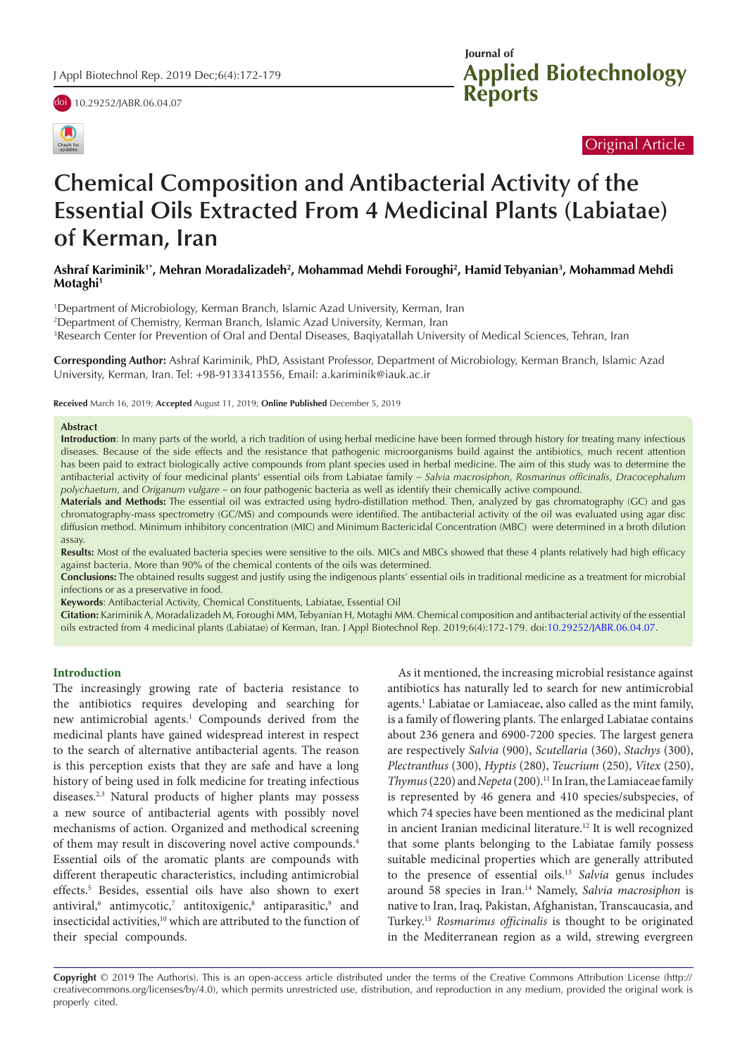

doi [10.29252/JABR.06.04.07](https://doi.org/10.29252/JABR.06.04.07)



# Original Article

# **Chemical Composition and Antibacterial Activity of the Essential Oils Extracted From 4 Medicinal Plants (Labiatae) of Kerman, Iran**

# Ashraf Kariminik'\*, Mehran Moradalizadeh<sup>2</sup>, Mohammad Mehdi Foroughi<sup>2</sup>, Hamid Tebyanian<sup>3</sup>, Mohammad Mehdi **Motaghi1**

1 Department of Microbiology, Kerman Branch, Islamic Azad University, Kerman, Iran 2 Department of Chemistry, Kerman Branch, Islamic Azad University, Kerman, Iran 3 Research Center for Prevention of Oral and Dental Diseases, Baqiyatallah University of Medical Sciences, Tehran, Iran

**Corresponding Author:** Ashraf Kariminik, PhD, Assistant Professor, Department of Microbiology, Kerman Branch, Islamic Azad University, Kerman, Iran. Tel: +98-9133413556, Email: a.kariminik@iauk.ac.ir

**Received** March 16, 2019; **Accepted** August 11, 2019; **Online Published** December 5, 2019

#### **Abstract**

**Introduction**: In many parts of the world, a rich tradition of using herbal medicine have been formed through history for treating many infectious diseases. Because of the side effects and the resistance that pathogenic microorganisms build against the antibiotics, much recent attention has been paid to extract biologically active compounds from plant species used in herbal medicine. The aim of this study was to determine the antibacterial activity of four medicinal plants' essential oils from Labiatae family *– Salvia macrosiphon*, *Rosmarinus officinalis*, *Dracocephalum polychaetum*, and *Origanum vulgare –* on four pathogenic bacteria as well as identify their chemically active compound.

**Materials and Methods:** The essential oil was extracted using hydro-distillation method. Then, analyzed by gas chromatography (GC) and gas chromatography-mass spectrometry (GC/MS) and compounds were identified. The antibacterial activity of the oil was evaluated using agar disc diffusion method. Minimum inhibitory concentration (MIC) and Minimum Bactericidal Concentration (MBC) were determined in a broth dilution assay.

**Results:** Most of the evaluated bacteria species were sensitive to the oils. MICs and MBCs showed that these 4 plants relatively had high efficacy against bacteria. More than 90% of the chemical contents of the oils was determined.

**Conclusions:** The obtained results suggest and justify using the indigenous plants' essential oils in traditional medicine as a treatment for microbial infections or as a preservative in food.

**Keywords**: Antibacterial Activity, Chemical Constituents, Labiatae*,* Essential Oil

**Citation:** Kariminik A, Moradalizadeh M, Foroughi MM, Tebyanian H, Motaghi MM. Chemical composition and antibacterial activity of the essential oils extracted from 4 medicinal plants (Labiatae) of Kerman, Iran. J Appl Biotechnol Rep. 2019;6(4):172-179. doi[:10.29252/JABR.06.04.07](https://doi.org/10.29252/JABR.06.04.07).

## **Introduction**

The increasingly growing rate of bacteria resistance to the antibiotics requires developing and searching for new antimicrobial agents.<sup>1</sup> Compounds derived from the medicinal plants have gained widespread interest in respect to the search of alternative antibacterial agents. The reason is this perception exists that they are safe and have a long history of being used in folk medicine for treating infectious diseases.2,3 Natural products of higher plants may possess a new source of antibacterial agents with possibly novel mechanisms of action. Organized and methodical screening of them may result in discovering novel active compounds.4 Essential oils of the aromatic plants are compounds with different therapeutic characteristics, including antimicrobial effects.5 Besides, essential oils have also shown to exert antiviral,<sup>6</sup> antimycotic,<sup>7</sup> antitoxigenic,<sup>8</sup> antiparasitic,<sup>9</sup> and insecticidal activities,<sup>10</sup> which are attributed to the function of their special compounds.

As it mentioned, the increasing microbial resistance against antibiotics has naturally led to search for new antimicrobial agents.<sup>1</sup> Labiatae or Lamiaceae, also called as the mint family, is a family of flowering plants. The enlarged Labiatae contains about 236 genera and 6900-7200 species. The largest genera are respectively *Salvia* (900), *Scutellaria* (360), *Stachys* (300), *Plectranthus* (300), *Hyptis* (280), *Teucrium* (250), *Vitex* (250), *Thymus* (220) and *Nepeta* (200).11 In Iran, the Lamiaceae family is represented by 46 genera and 410 species/subspecies, of which 74 species have been mentioned as the medicinal plant in ancient Iranian medicinal literature.<sup>12</sup> It is well recognized that some plants belonging to the Labiatae family possess suitable medicinal properties which are generally attributed to the presence of essential oils.13 *Salvia* genus includes around 58 species in Iran.14 Namely, *Salvia macrosiphon* is native to Iran, Iraq, Pakistan, Afghanistan, Transcaucasia, and Turkey. <sup>15</sup> *Rosmarinus officinalis* is thought to be originated in the Mediterranean region as a wild, strewing evergreen

**Copyright** © 2019 The Author(s). This is an open-access article distributed under the terms of the Creative Commons Attribution License (http:// creativecommons.org/licenses/by/4.0), which permits unrestricted use, distribution, and reproduction in any medium, provided the original work is properly cited.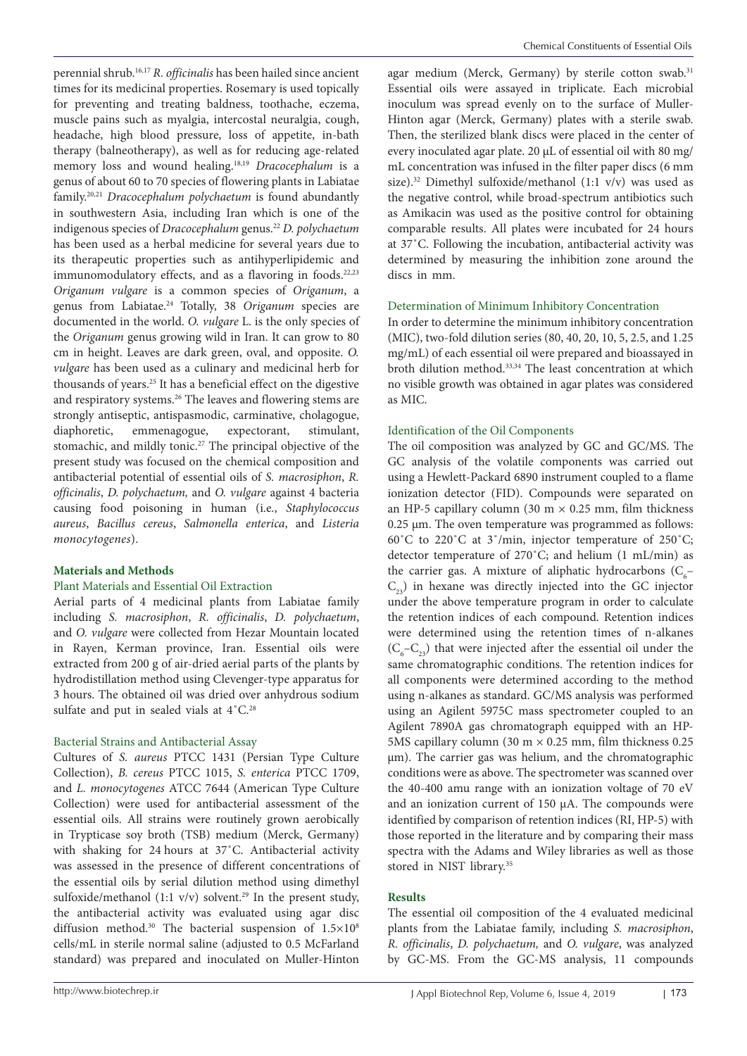perennial shrub.16,17 *R. officinalis* has been hailed since ancient times for its medicinal properties. Rosemary is used topically for preventing and treating baldness, toothache, eczema, muscle pains such as myalgia, intercostal neuralgia, cough, headache, high blood pressure, loss of appetite, in-bath therapy (balneotherapy), as well as for reducing age-related memory loss and wound healing.18,19 *Dracocephalum* is a genus of about 60 to 70 species of flowering plants in Labiatae family.20,21 *Dracocephalum polychaetum* is found abundantly in southwestern Asia, including Iran which is one of the indigenous species of *Dracocephalum* genus.22 *D. polychaetum* has been used as a herbal medicine for several years due to its therapeutic properties such as antihyperlipidemic and immunomodulatory effects, and as a flavoring in foods.<sup>22,23</sup> *Origanum vulgare* is a common species of *Origanum*, a genus from Labiatae.24 Totally, 38 *Origanum* species are documented in the world. *O. vulgare* L. is the only species of the *Origanum* genus growing wild in Iran. It can grow to 80 cm in height. Leaves are dark green, oval, and opposite. *O. vulgare* has been used as a culinary and medicinal herb for thousands of years.25 It has a beneficial effect on the digestive and respiratory systems.26 The leaves and flowering stems are strongly antiseptic, antispasmodic, carminative, cholagogue, diaphoretic, emmenagogue, expectorant, stimulant, stomachic, and mildly tonic.<sup>27</sup> The principal objective of the present study was focused on the chemical composition and antibacterial potential of essential oils of *S. macrosiphon*, *R. officinalis*, *D. polychaetum,* and *O. vulgare* against 4 bacteria causing food poisoning in human (i.e., *Staphylococcus aureus*, *Bacillus cereus*, *Salmonella enterica*, and *Listeria monocytogenes*).

## **Materials and Methods**

## Plant Materials and Essential Oil Extraction

Aerial parts of 4 medicinal plants from Labiatae family including *S. macrosiphon*, *R. officinalis*, *D. polychaetum*, and *O. vulgare* were collected from Hezar Mountain located in Rayen, Kerman province, Iran. Essential oils were extracted from 200 g of air-dried aerial parts of the plants by hydrodistillation method using Clevenger-type apparatus for 3 hours. The obtained oil was dried over anhydrous sodium sulfate and put in sealed vials at  $4^{\circ}$ C.<sup>28</sup>

## Bacterial Strains and Antibacterial Assay

Cultures of *S. aureus* PTCC 1431 (Persian Type Culture Collection), *B. cereus* PTCC 1015, *S. enterica* PTCC 1709, and *L. monocytogenes* ATCC 7644 (American Type Culture Collection) were used for antibacterial assessment of the essential oils. All strains were routinely grown aerobically in Trypticase soy broth (TSB) medium (Merck, Germany) with shaking for 24 hours at 37˚C. Antibacterial activity was assessed in the presence of different concentrations of the essential oils by serial dilution method using dimethyl sulfoxide/methanol (1:1 v/v) solvent.<sup>29</sup> In the present study, the antibacterial activity was evaluated using agar disc diffusion method.<sup>30</sup> The bacterial suspension of  $1.5\times10^{8}$ cells/mL in sterile normal saline (adjusted to 0.5 McFarland standard) was prepared and inoculated on Muller-Hinton

agar medium (Merck, Germany) by sterile cotton swab.<sup>31</sup> Essential oils were assayed in triplicate. Each microbial inoculum was spread evenly on to the surface of Muller-Hinton agar (Merck, Germany) plates with a sterile swab. Then, the sterilized blank discs were placed in the center of every inoculated agar plate. 20 μL of essential oil with 80 mg/ mL concentration was infused in the filter paper discs (6 mm size).<sup>32</sup> Dimethyl sulfoxide/methanol (1:1 v/v) was used as the negative control, while broad-spectrum antibiotics such as Amikacin was used as the positive control for obtaining comparable results. All plates were incubated for 24 hours at 37˚C. Following the incubation, antibacterial activity was determined by measuring the inhibition zone around the discs in mm.

## Determination of Minimum Inhibitory Concentration

In order to determine the minimum inhibitory concentration (MIC), two-fold dilution series (80, 40, 20, 10, 5, 2.5, and 1.25 mg/mL) of each essential oil were prepared and bioassayed in broth dilution method.<sup>33,34</sup> The least concentration at which no visible growth was obtained in agar plates was considered as MIC.

## Identification of the Oil Components

The oil composition was analyzed by GC and GC/MS. The GC analysis of the volatile components was carried out using a Hewlett-Packard 6890 instrument coupled to a flame ionization detector (FID). Compounds were separated on an HP-5 capillary column (30 m  $\times$  0.25 mm, film thickness 0.25 μm. The oven temperature was programmed as follows: 60˚C to 220˚C at 3˚/min, injector temperature of 250˚C; detector temperature of 270˚C; and helium (1 mL/min) as the carrier gas. A mixture of aliphatic hydrocarbons  $(C_{6}$ - $C_{22}$ ) in hexane was directly injected into the GC injector under the above temperature program in order to calculate the retention indices of each compound. Retention indices were determined using the retention times of n-alkanes  $(C_6-C_{23})$  that were injected after the essential oil under the same chromatographic conditions. The retention indices for all components were determined according to the method using n-alkanes as standard. GC/MS analysis was performed using an Agilent 5975C mass spectrometer coupled to an Agilent 7890A gas chromatograph equipped with an HP-5MS capillary column (30 m  $\times$  0.25 mm, film thickness 0.25 μm). The carrier gas was helium, and the chromatographic conditions were as above. The spectrometer was scanned over the 40-400 amu range with an ionization voltage of 70 eV and an ionization current of 150 µA. The compounds were identified by comparison of retention indices (RI, HP-5) with those reported in the literature and by comparing their mass spectra with the Adams and Wiley libraries as well as those stored in NIST library.35

# **Results**

The essential oil composition of the 4 evaluated medicinal plants from the Labiatae family, including *S. macrosiphon*, *R. officinalis*, *D. polychaetum,* and *O. vulgare*, was analyzed by GC-MS. From the GC-MS analysis, 11 compounds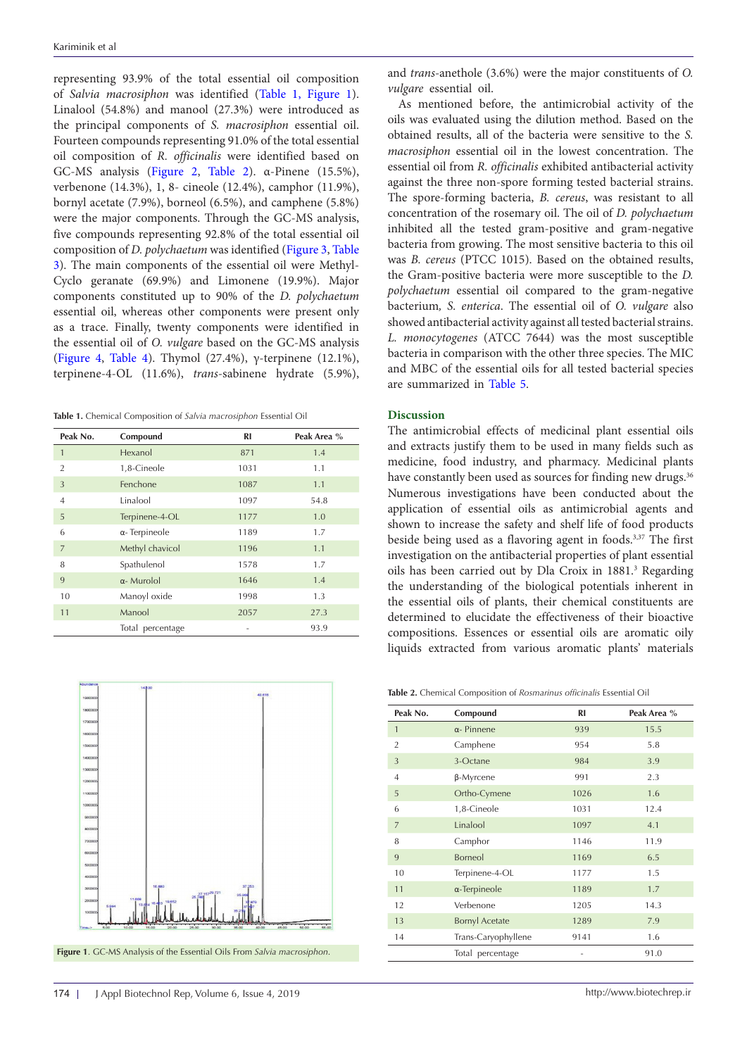representing 93.9% of the total essential oil composition of *Salvia macrosiphon* was identified ([Table 1,](#page-2-0) [Figure 1\)](#page-2-1). Linalool (54.8%) and manool (27.3%) were introduced as the principal components of *S. macrosiphon* essential oil. Fourteen compounds representing 91.0% of the total essential oil composition of *R. officinalis* were identified based on GC-MS analysis ([Figure 2](#page-3-0), [Table 2](#page-2-2)). α-Pinene (15.5%), verbenone (14.3%), 1, 8- cineole (12.4%), camphor (11.9%), bornyl acetate (7.9%), borneol (6.5%), and camphene (5.8%) were the major components. Through the GC-MS analysis, five compounds representing 92.8% of the total essential oil composition of *D. polychaetum* was identified [\(Figure 3,](#page-3-0) [Table](#page-4-0) [3](#page-4-0)). The main components of the essential oil were Methyl-Cyclo geranate (69.9%) and Limonene (19.9%). Major components constituted up to 90% of the *D. polychaetum*  essential oil, whereas other components were present only as a trace. Finally, twenty components were identified in the essential oil of *O. vulgare* based on the GC-MS analysis ([Figure 4,](#page-4-1) [Table 4](#page-4-2)). Thymol (27.4%),  $\gamma$ -terpinene (12.1%), terpinene-4-OL (11.6%), *trans*-sabinene hydrate (5.9%),

<span id="page-2-0"></span>**Table 1.** Chemical Composition of *Salvia macrosiphon* Essential Oil

| Peak No.       | Compound              | RI   | Peak Area % |
|----------------|-----------------------|------|-------------|
| $\overline{1}$ | Hexanol               | 871  | 1.4         |
| $\overline{2}$ | 1,8-Cineole           | 1031 | 1.1         |
| $\overline{3}$ | Fenchone              | 1087 | 1.1         |
| $\overline{4}$ | Linalool              | 1097 | 54.8        |
| 5              | Terpinene-4-OL        | 1177 | 1.0         |
| 6              | $\alpha$ - Terpineole | 1189 | 1.7         |
| $\overline{7}$ | Methyl chavicol       | 1196 | 1.1         |
| 8              | Spathulenol           | 1578 | 1.7         |
| 9              | $\alpha$ - Murolol    | 1646 | 1.4         |
| 10             | Manoyl oxide          | 1998 | 1.3         |
| 11             | Manool                | 2057 | 27.3        |
|                | Total percentage      |      | 93.9        |

<span id="page-2-1"></span>

Figure 1. GC-MS Analysis of the Essential Oils From Salvia macrosiphon.

and *trans-*anethole (3.6%) were the major constituents of *O. vulgare* essential oil.

As mentioned before, the antimicrobial activity of the oils was evaluated using the dilution method. Based on the obtained results, all of the bacteria were sensitive to the *S. macrosiphon* essential oil in the lowest concentration. The essential oil from *R. officinalis* exhibited antibacterial activity against the three non-spore forming tested bacterial strains. The spore-forming bacteria, *B. cereus*, was resistant to all concentration of the rosemary oil. The oil of *D. polychaetum* inhibited all the tested gram-positive and gram-negative bacteria from growing. The most sensitive bacteria to this oil was *B. cereus* (PTCC 1015). Based on the obtained results, the Gram-positive bacteria were more susceptible to the *D. polychaetum* essential oil compared to the gram-negative bacterium*, S. enterica*. The essential oil of *O. vulgare* also showed antibacterial activity against all tested bacterial strains. *L. monocytogenes* (ATCC 7644) was the most susceptible bacteria in comparison with the other three species. The MIC and MBC of the essential oils for all tested bacterial species are summarized in [Table 5](#page-4-3).

#### **Discussion**

The antimicrobial effects of medicinal plant essential oils and extracts justify them to be used in many fields such as medicine, food industry, and pharmacy. Medicinal plants have constantly been used as sources for finding new drugs.<sup>36</sup> Numerous investigations have been conducted about the application of essential oils as antimicrobial agents and shown to increase the safety and shelf life of food products beside being used as a flavoring agent in foods.<sup>3,37</sup> The first investigation on the antibacterial properties of plant essential oils has been carried out by Dla Croix in 1881.<sup>3</sup> Regarding the understanding of the biological potentials inherent in the essential oils of plants, their chemical constituents are determined to elucidate the effectiveness of their bioactive compositions. Essences or essential oils are aromatic oily liquids extracted from various aromatic plants' materials

<span id="page-2-2"></span>**Table 2.** Chemical Composition of *Rosmarinus officinalis* Essential Oil

| Peak No.       | Compound              | <b>RI</b> | Peak Area % |
|----------------|-----------------------|-----------|-------------|
| $\mathbf{1}$   | $\alpha$ - Pinnene    | 939       | 15.5        |
| $\overline{2}$ | Camphene              | 954       | 5.8         |
| 3              | 3-Octane              | 984       | 3.9         |
| 4              | β-Myrcene             | 991       | 2.3         |
| 5              | Ortho-Cymene          | 1026      | 1.6         |
| 6              | 1,8-Cineole           | 1031      | 12.4        |
| $\overline{7}$ | Linalool              | 1097      | 4.1         |
| 8              | Camphor               | 1146      | 11.9        |
| 9              | Borneol               | 1169      | 6.5         |
| 10             | Terpinene-4-OL        | 1177      | 1.5         |
| 11             | $\alpha$ -Terpineole  | 1189      | 1.7         |
| 12             | Verbenone             | 1205      | 14.3        |
| 13             | <b>Bornyl Acetate</b> | 1289      | 7.9         |
| 14             | Trans-Caryophyllene   | 9141      | 1.6         |
|                | Total percentage      |           | 91.0        |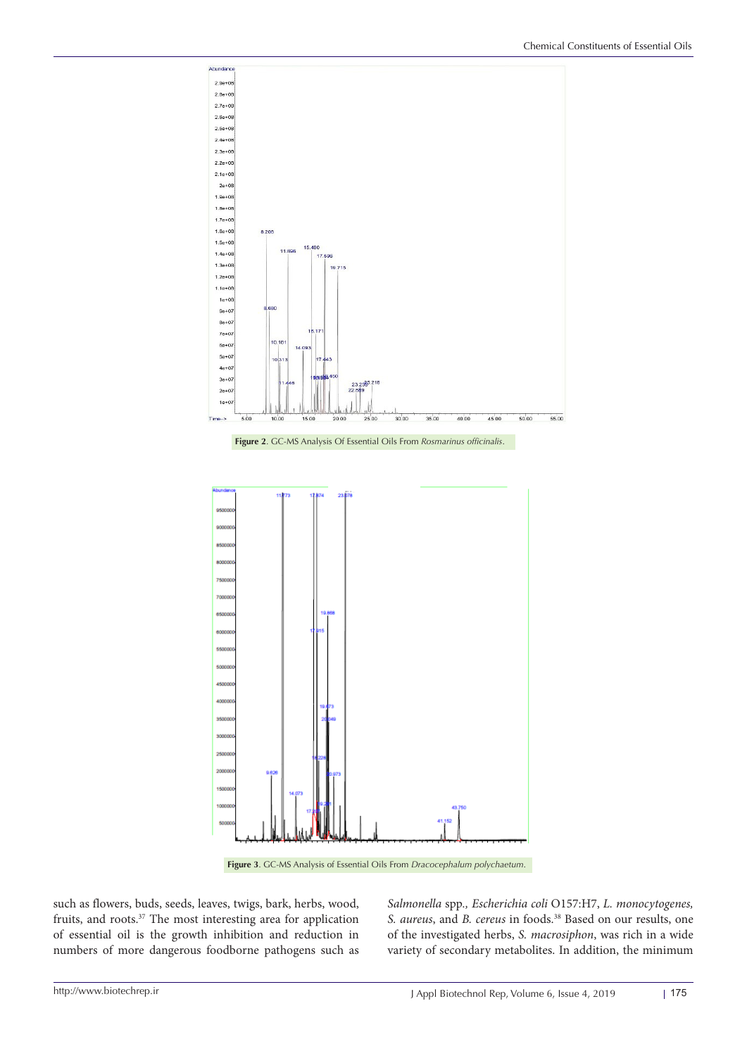<span id="page-3-0"></span>

**Figure 3**. GC-MS Analysis of Essential Oils From *Dracocephalum polychaetum*.

such as flowers, buds, seeds, leaves, twigs, bark, herbs, wood, fruits, and roots.<sup>37</sup> The most interesting area for application of essential oil is the growth inhibition and reduction in numbers of more dangerous foodborne pathogens such as

*Salmonella* spp*., Escherichia coli* O157:H7, *L. monocytogenes, S. aureus*, and *B. cereus* in foods.38 Based on our results, one of the investigated herbs, *S. macrosiphon*, was rich in a wide variety of secondary metabolites. In addition, the minimum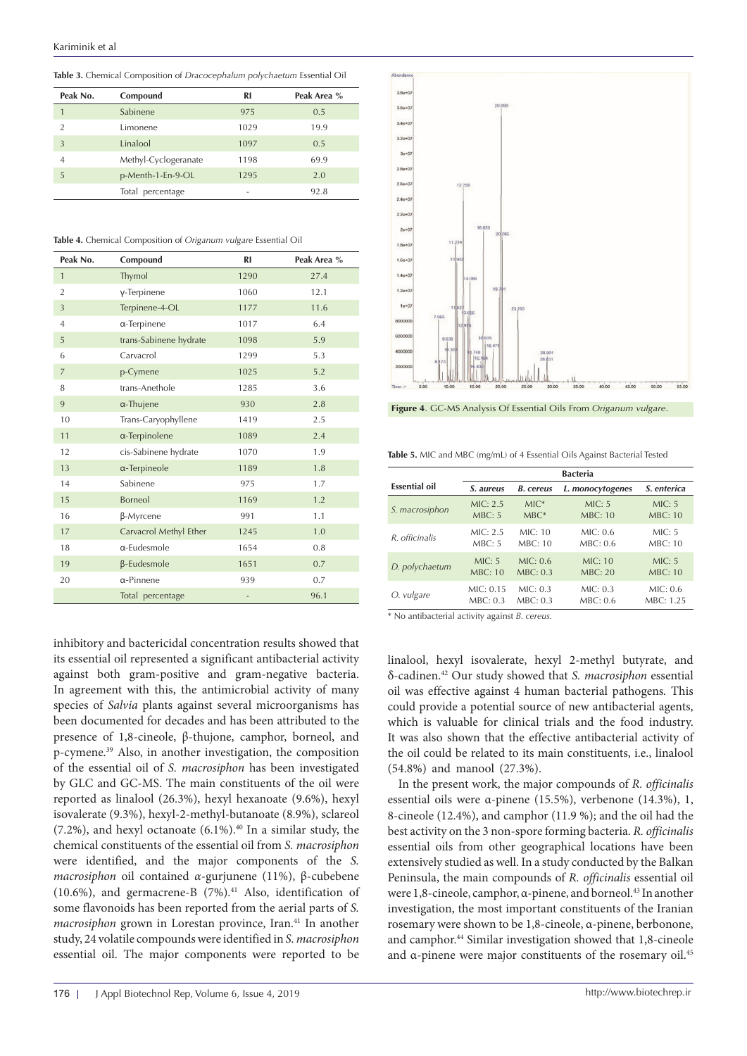<span id="page-4-0"></span>**Table 3.** Chemical Composition of *Dracocephalum polychaetum* Essential Oil

| Peak No.      | Compound             | <b>RI</b> | Peak Area % |
|---------------|----------------------|-----------|-------------|
|               | Sabinene             | 975       | 0.5         |
| $\mathcal{D}$ | Limonene             | 1029      | 19.9        |
| 3             | Linalool             | 1097      | 0.5         |
| 4             | Methyl-Cyclogeranate | 1198      | 69.9        |
| 5             | p-Menth-1-En-9-OL    | 1295      | 2.0         |
|               | Total percentage     | -         | 92.8        |

<span id="page-4-2"></span>**Table 4.** Chemical Composition of *Origanum vulgare* Essential Oil

| Peak No.       | Compound               | <b>RI</b> | Peak Area % |
|----------------|------------------------|-----------|-------------|
| $\mathbf{1}$   | Thymol                 | 1290      | 27.4        |
| $\overline{2}$ | γ-Terpinene            | 1060      | 12.1        |
| 3              | Terpinene-4-OL         | 1177      | 11.6        |
| $\overline{4}$ | $\alpha$ -Terpinene    | 1017      | 6.4         |
| 5              | trans-Sabinene hydrate | 1098      | 5.9         |
| 6              | Carvacrol              | 1299      | 5.3         |
| $\overline{7}$ | p-Cymene               | 1025      | 5.2         |
| 8              | trans-Anethole         | 1285      | 3.6         |
| 9              | $\alpha$ -Thujene      | 930       | 2.8         |
| 10             | Trans-Caryophyllene    | 1419      | 2.5         |
| 11             | $\alpha$ -Terpinolene  | 1089      | 2.4         |
| 12             | cis-Sabinene hydrate   | 1070      | 1.9         |
| 13             | $\alpha$ -Terpineole   | 1189      | 1.8         |
| 14             | Sabinene               | 975       | 1.7         |
| 15             | Borneol                | 1169      | 1.2         |
| 16             | β-Myrcene              | 991       | 1.1         |
| 17             | Carvacrol Methyl Ether | 1245      | 1.0         |
| 18             | $\alpha$ -Eudesmole    | 1654      | 0.8         |
| 19             | $\beta$ -Eudesmole     | 1651      | 0.7         |
| 20             | $\alpha$ -Pinnene      | 939       | 0.7         |
|                | Total percentage       |           | 96.1        |



<span id="page-4-1"></span>

**Figure 4**. GC-MS Analysis Of Essential Oils From *Origanum vulgare*.

<span id="page-4-3"></span>**Table 5.** MIC and MBC (mg/mL) of 4 Essential Oils Against Bacterial Tested

|                      | <b>Bacteria</b> |                  |                  |                |
|----------------------|-----------------|------------------|------------------|----------------|
| <b>Essential oil</b> | S. aureus       | <b>B.</b> cereus | L. monocytogenes | S. enterica    |
| S. macrosiphon       | MIC: 2.5        | $MIC*$           | MIC: 5           | MIC: 5         |
|                      | MBC: 5          | $MBC*$           | <b>MBC: 10</b>   | <b>MBC: 10</b> |
| R. officinalis       | MIC: 2.5        | MIC: 10          | MIC: 0.6         | MIC: 5         |
|                      | MBC: 5          | MBC:10           | MBC: 0.6         | <b>MBC: 10</b> |
| D. polychaetum       | MIC: 5          | MIC: 0.6         | MIC: 10          | MIC: 5         |
|                      | <b>MBC: 10</b>  | MBC: 0.3         | <b>MBC: 20</b>   | <b>MBC: 10</b> |
| O. vulgare           | MIC: 0.15       | MIC: 0.3         | MIC: 0.3         | MIC: 0.6       |
|                      | MBC: 0.3        | MBC: 0.3         | MBC: 0.6         | MBC: 1.25      |

\* No antibacterial activity against *B. cereus.*

linalool, hexyl isovalerate, hexyl 2-methyl butyrate, and δ-cadinen.42 Our study showed that *S. macrosiphon* essential oil was effective against 4 human bacterial pathogens*.* This could provide a potential source of new antibacterial agents, which is valuable for clinical trials and the food industry. It was also shown that the effective antibacterial activity of the oil could be related to its main constituents, i.e., linalool (54.8%) and manool (27.3%).

In the present work, the major compounds of *R. officinalis* essential oils were α-pinene (15.5%), verbenone (14.3%), 1, 8-cineole (12.4%), and camphor (11.9 %); and the oil had the best activity on the 3 non-spore forming bacteria. *R. officinalis* essential oils from other geographical locations have been extensively studied as well. In a study conducted by the Balkan Peninsula, the main compounds of *R. officinalis* essential oil were 1,8-cineole, camphor, α-pinene, and borneol.<sup>43</sup> In another investigation, the most important constituents of the Iranian rosemary were shown to be 1,8-cineole, α-pinene, berbonone, and camphor.44 Similar investigation showed that 1,8-cineole and α-pinene were major constituents of the rosemary oil.45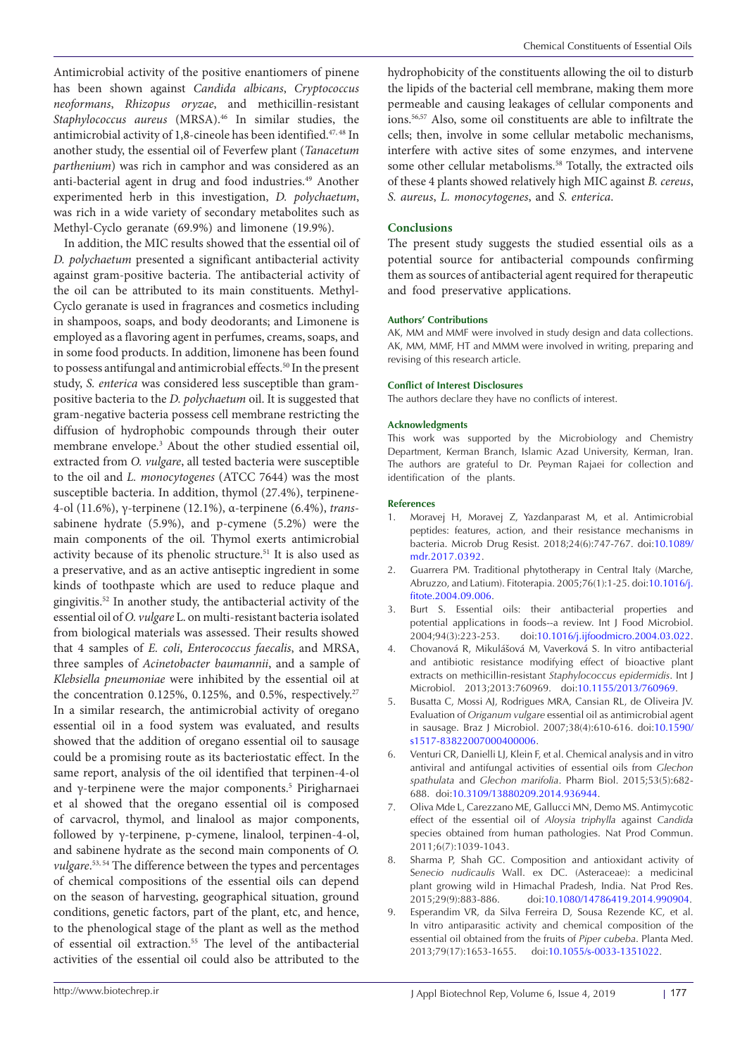Antimicrobial activity of the positive enantiomers of pinene has been shown against *Candida albicans*, *Cryptococcus neoformans*, *Rhizopus oryzae*, and methicillin-resistant *Staphylococcus aureus* (MRSA).46 In similar studies, the antimicrobial activity of 1,8-cineole has been identified.<sup>47, 48</sup> In another study, the essential oil of Feverfew plant (*Tanacetum parthenium*) was rich in camphor and was considered as an anti-bacterial agent in drug and food industries.<sup>49</sup> Another experimented herb in this investigation, *D. polychaetum*, was rich in a wide variety of secondary metabolites such as Methyl-Cyclo geranate (69.9%) and limonene (19.9%).

In addition, the MIC results showed that the essential oil of *D. polychaetum* presented a significant antibacterial activity against gram-positive bacteria. The antibacterial activity of the oil can be attributed to its main constituents. Methyl-Cyclo geranate is used in fragrances and cosmetics including in shampoos, soaps, and body deodorants; and Limonene is employed as a flavoring agent in perfumes, creams, soaps, and in some food products. In addition, limonene has been found to possess antifungal and antimicrobial effects.<sup>50</sup> In the present study, *S. enterica* was considered less susceptible than grampositive bacteria to the *D. polychaetum* oil. It is suggested that gram-negative bacteria possess cell membrane restricting the diffusion of hydrophobic compounds through their outer membrane envelope.3 About the other studied essential oil, extracted from *O. vulgare*, all tested bacteria were susceptible to the oil and *L. monocytogenes* (ATCC 7644) was the most susceptible bacteria. In addition, thymol (27.4%), terpinene-4-ol (11.6%), γ-terpinene (12.1%), α-terpinene (6.4%), *trans*sabinene hydrate (5.9%), and p-cymene (5.2%) were the main components of the oil. Thymol exerts antimicrobial activity because of its phenolic structure.51 It is also used as a preservative, and as an active antiseptic ingredient in some kinds of toothpaste which are used to reduce plaque and gingivitis.52 In another study, the antibacterial activity of the essential oil of *O. vulgare* L. on multi-resistant bacteria isolated from biological materials was assessed. Their results showed that 4 samples of *E. coli*, *Enterococcus faecalis*, and MRSA, three samples of *Acinetobacter baumannii*, and a sample of *Klebsiella pneumoniae* were inhibited by the essential oil at the concentration 0.125%, 0.125%, and 0.5%, respectively.<sup>27</sup> In a similar research, the antimicrobial activity of oregano essential oil in a food system was evaluated, and results showed that the addition of oregano essential oil to sausage could be a promising route as its bacteriostatic effect. In the same report, analysis of the oil identified that terpinen-4-ol and γ-terpinene were the major components.<sup>5</sup> Pirigharnaei et al showed that the oregano essential oil is composed of carvacrol, thymol, and linalool as major components, followed by γ-terpinene, p-cymene, linalool, terpinen-4-ol, and sabinene hydrate as the second main components of *O. vulgare*. 53, 54 The difference between the types and percentages of chemical compositions of the essential oils can depend on the season of harvesting, geographical situation, ground conditions, genetic factors, part of the plant, etc, and hence, to the phenological stage of the plant as well as the method of essential oil extraction.55 The level of the antibacterial activities of the essential oil could also be attributed to the

hydrophobicity of the constituents allowing the oil to disturb the lipids of the bacterial cell membrane, making them more permeable and causing leakages of cellular components and ions.56,57 Also, some oil constituents are able to infiltrate the cells; then, involve in some cellular metabolic mechanisms, interfere with active sites of some enzymes, and intervene some other cellular metabolisms.<sup>58</sup> Totally, the extracted oils of these 4 plants showed relatively high MIC against *B. cereus*, *S. aureus*, *L. monocytogenes*, and *S. enterica*.

#### **Conclusions**

The present study suggests the studied essential oils as a potential source for antibacterial compounds confirming them as sources of antibacterial agent required for therapeutic and food preservative applications.

#### **Authors' Contributions**

AK, MM and MMF were involved in study design and data collections. AK, MM, MMF, HT and MMM were involved in writing, preparing and revising of this research article.

#### **Conflict of Interest Disclosures**

The authors declare they have no conflicts of interest.

#### **Acknowledgments**

This work was supported by the Microbiology and Chemistry Department, Kerman Branch, Islamic Azad University, Kerman, Iran. The authors are grateful to Dr. Peyman Rajaei for collection and identification of the plants.

#### **References**

- 1. Moravej H, Moravej Z, Yazdanparast M, et al. Antimicrobial peptides: features, action, and their resistance mechanisms in bacteria. Microb Drug Resist. 2018;24(6):747-767. doi:[10.1089/](https://doi.org/10.1089/mdr.2017.0392) [mdr.2017.0392.](https://doi.org/10.1089/mdr.2017.0392)
- 2. Guarrera PM. Traditional phytotherapy in Central Italy (Marche, Abruzzo, and Latium). Fitoterapia. 2005;76(1):1-25. doi[:10.1016/j.](https://doi.org/10.1016/j.fitote.2004.09.006) [fitote.2004.09.006.](https://doi.org/10.1016/j.fitote.2004.09.006)
- 3. Burt S. Essential oils: their antibacterial properties and potential applications in foods--a review. Int J Food Microbiol. 2004;94(3):223-253. doi[:10.1016/j.ijfoodmicro.2004.03.022.](https://doi.org/10.1016/j.ijfoodmicro.2004.03.022)
- 4. Chovanová R, Mikulášová M, Vaverková S. In vitro antibacterial and antibiotic resistance modifying effect of bioactive plant extracts on methicillin-resistant *Staphylococcus epidermidis*. Int J Microbiol. 2013;2013:760969. doi[:10.1155/2013/760969](https://doi.org/10.1155/2013/760969).
- 5. Busatta C, Mossi AJ, Rodrigues MRA, Cansian RL, de Oliveira JV. Evaluation of *Origanum vulgare* essential oil as antimicrobial agent in sausage. Braz J Microbiol. 2007;38(4):610-616. doi:10.1590/ s1517-83822007000400006.
- 6. Venturi CR, Danielli LJ, Klein F, et al. Chemical analysis and in vitro antiviral and antifungal activities of essential oils from *Glechon spathulata* and *Glechon marifolia*. Pharm Biol. 2015;53(5):682- 688. doi:[10.3109/13880209.2014.936944](https://doi.org/10.3109/13880209.2014.936944).
- 7. Oliva Mde L, Carezzano ME, Gallucci MN, Demo MS. Antimycotic effect of the essential oil of *Aloysia triphylla* against *Candida*  species obtained from human pathologies. Nat Prod Commun. 2011;6(7):1039-1043.
- 8. Sharma P, Shah GC. Composition and antioxidant activity of S*enecio nudicaulis* Wall. ex DC. (Asteraceae): a medicinal plant growing wild in Himachal Pradesh, India. Nat Prod Res. 2015;29(9):883-886. doi:[10.1080/14786419.2014.990904.](https://doi.org/10.1080/14786419.2014.990904)
- 9. Esperandim VR, da Silva Ferreira D, Sousa Rezende KC, et al. In vitro antiparasitic activity and chemical composition of the essential oil obtained from the fruits of *Piper cubeba*. Planta Med. 2013;79(17):1653-1655. doi[:10.1055/s-0033-1351022.](https://doi.org/10.1055/s-0033-1351022)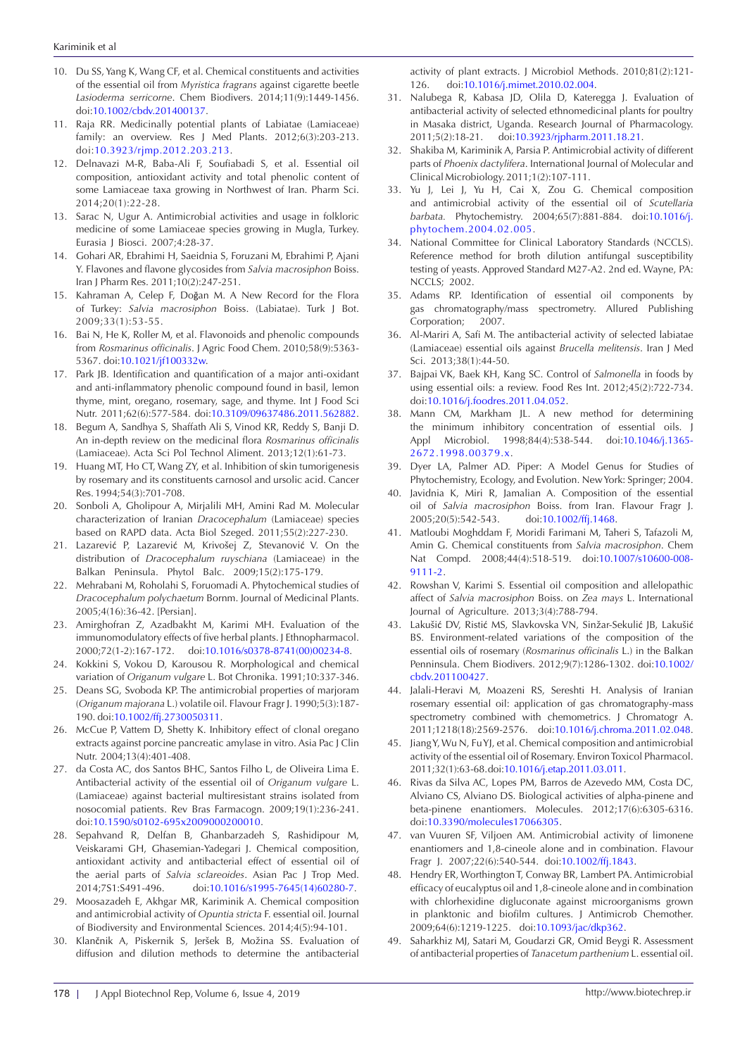- 10. Du SS, Yang K, Wang CF, et al. Chemical constituents and activities of the essential oil from *Myristica fragrans* against cigarette beetle *Lasioderma serricorne*. Chem Biodivers. 2014;11(9):1449-1456. doi:[10.1002/cbdv.201400137.](https://doi.org/10.1002/cbdv.201400137)
- 11. Raja RR. Medicinally potential plants of Labiatae (Lamiaceae) family: an overview. Res J Med Plants. 2012;6(3):203-213. doi[:10.3923/rjmp.2012.203.213](https://doi.org/10.3923/rjmp.2012.203.213).
- 12. Delnavazi M-R, Baba-Ali F, Soufiabadi S, et al. Essential oil composition, antioxidant activity and total phenolic content of some Lamiaceae taxa growing in Northwest of Iran. Pharm Sci. 2014;20(1):22-28.
- 13. Sarac N, Ugur A. Antimicrobial activities and usage in folkloric medicine of some Lamiaceae species growing in Mugla, Turkey. Eurasia J Biosci. 2007;4:28-37.
- 14. Gohari AR, Ebrahimi H, Saeidnia S, Foruzani M, Ebrahimi P, Ajani Y. Flavones and flavone glycosides from *Salvia macrosiphon* Boiss. Iran J Pharm Res. 2011;10(2):247-251.
- 15. Kahraman A, Celep F, Doğan M. A New Record for the Flora of Turkey: *Salvia macrosiphon* Boiss. (Labiatae). Turk J Bot. 2009;33(1):53-55.
- 16. Bai N, He K, Roller M, et al. Flavonoids and phenolic compounds from *Rosmarinus officinalis*. J Agric Food Chem. 2010;58(9):5363- 5367. doi:10.1021/jf100332w.
- 17. Park JB. Identification and quantification of a major anti-oxidant and anti-inflammatory phenolic compound found in basil, lemon thyme, mint, oregano, rosemary, sage, and thyme. Int J Food Sci Nutr. 2011;62(6):577-584. doi[:10.3109/09637486.2011.562882](https://doi.org/10.3109/09637486.2011.562882).
- 18. Begum A, Sandhya S, Shaffath Ali S, Vinod KR, Reddy S, Banji D. An in-depth review on the medicinal flora *Rosmarinus officinalis*  (Lamiaceae). Acta Sci Pol Technol Aliment. 2013;12(1):61-73.
- 19. Huang MT, Ho CT, Wang ZY, et al. Inhibition of skin tumorigenesis by rosemary and its constituents carnosol and ursolic acid. Cancer Res. 1994;54(3):701-708.
- 20. Sonboli A, Gholipour A, Mirjalili MH, Amini Rad M. Molecular characterization of Iranian *Dracocephalum* (Lamiaceae) species based on RAPD data. Acta Biol Szeged. 2011;55(2):227-230.
- 21. Lazarević P, Lazarević M, Krivošej Z, Stevanović V. On the distribution of *Dracocephalum ruyschiana* (Lamiaceae) in the Balkan Peninsula. Phytol Balc. 2009;15(2):175-179.
- 22. Mehrabani M, Roholahi S, Foruomadi A. Phytochemical studies of *Dracocephalum polychaetum* Bornm. Journal of Medicinal Plants. 2005;4(16):36-42. [Persian].
- 23. Amirghofran Z, Azadbakht M, Karimi MH. Evaluation of the immunomodulatory effects of five herbal plants. J Ethnopharmacol. 2000;72(1-2):167-172. doi[:10.1016/s0378-8741\(00\)00234-8.](https://doi.org/10.1016/s0378-8741(00)00234-8)
- 24. Kokkini S, Vokou D, Karousou R. Morphological and chemical variation of *Origanum vulgare* L. Bot Chronika. 1991;10:337-346.
- 25. Deans SG, Svoboda KP. The antimicrobial properties of marjoram (*Origanum majorana* L.) volatile oil. Flavour Fragr J. 1990;5(3):187- 190. doi:[10.1002/ffj.2730050311](https://doi.org/10.1002/ffj.2730050311).
- 26. McCue P, Vattem D, Shetty K. Inhibitory effect of clonal oregano extracts against porcine pancreatic amylase in vitro. Asia Pac J Clin Nutr. 2004;13(4):401-408.
- 27. da Costa AC, dos Santos BHC, Santos Filho L, de Oliveira Lima E. Antibacterial activity of the essential oil of *Origanum vulgare* L. (Lamiaceae) against bacterial multiresistant strains isolated from nosocomial patients. Rev Bras Farmacogn. 2009;19(1):236-241. doi[:10.1590/s0102-695x2009000200010.](https://doi.org/10.1590/S0102-695X2009000200010)
- 28. Sepahvand R, Delfan B, Ghanbarzadeh S, Rashidipour M, Veiskarami GH, Ghasemian-Yadegari J. Chemical composition, antioxidant activity and antibacterial effect of essential oil of the aerial parts of *Salvia sclareoides*. Asian Pac J Trop Med. 2014;7S1:S491-496. doi[:10.1016/s1995-7645\(14\)60280-7](https://doi.org/10.1016/s1995-7645(14)60280-7).
- 29. Moosazadeh E, Akhgar MR, Kariminik A. Chemical composition and antimicrobial activity of *Opuntia stricta* F. essential oil. Journal of Biodiversity and Environmental Sciences. 2014;4(5):94-101.
- 30. Klančnik A, Piskernik S, Jeršek B, Možina SS. Evaluation of diffusion and dilution methods to determine the antibacterial

activity of plant extracts. J Microbiol Methods. 2010;81(2):121- 126. doi:[10.1016/j.mimet.2010.02.004.](https://doi.org/10.1016/j.mimet.2010.02.004)

- 31. Nalubega R, Kabasa JD, Olila D, Kateregga J. Evaluation of antibacterial activity of selected ethnomedicinal plants for poultry in Masaka district, Uganda. Research Journal of Pharmacology. 2011;5(2):18-21. doi:[10.3923/rjpharm.2011.18.21](https://doi.org/10.3923/rjpharm.2011.18.21).
- 32. Shakiba M, Kariminik A, Parsia P. Antimicrobial activity of different parts of *Phoenix dactylifera*. International Journal of Molecular and Clinical Microbiology. 2011;1(2):107-111.
- 33. Yu J, Lei J, Yu H, Cai X, Zou G. Chemical composition and antimicrobial activity of the essential oil of *Scutellaria barbata.* Phytochemistry. 2004;65(7):881-884. doi[:10.1016/j.](https://doi.org/10.1016/j.phytochem.2004.02.005) [phytochem.2004.02.005.](https://doi.org/10.1016/j.phytochem.2004.02.005)
- 34. National Committee for Clinical Laboratory Standards (NCCLS). Reference method for broth dilution antifungal susceptibility testing of yeasts. Approved Standard M27-A2. 2nd ed. Wayne, PA: NCCLS; 2002.
- 35. Adams RP. Identification of essential oil components by gas chromatography/mass spectrometry. Allured Publishing Corporation; 2007.
- 36. Al-Mariri A, Safi M. The antibacterial activity of selected labiatae (Lamiaceae) essential oils against *Brucella melitensis*. Iran J Med Sci. 2013;38(1):44-50.
- 37. Bajpai VK, Baek KH, Kang SC. Control of *Salmonella* in foods by using essential oils: a review. Food Res Int. 2012;45(2):722-734. doi:[10.1016/j.foodres.2011.04.052](https://doi.org/10.1016/j.foodres.2011.04.052).
- 38. Mann CM, Markham JL. A new method for determining the minimum inhibitory concentration of essential oils. J Appl Microbiol. 1998;84(4):538-544. doi:[10.1046/j.1365-](https://doi.org/10.1046/j.1365-2672.1998.00379.x) [2672.1998.00379.x.](https://doi.org/10.1046/j.1365-2672.1998.00379.x)
- 39. Dyer LA, Palmer AD. Piper: A Model Genus for Studies of Phytochemistry, Ecology, and Evolution. New York: Springer; 2004.
- 40. Javidnia K, Miri R, Jamalian A. Composition of the essential oil of *Salvia macrosiphon* Boiss. from Iran. Flavour Fragr J. 2005;20(5):542-543. doi:10.1002/ffj.1468.
- 41. Matloubi Moghddam F, Moridi Farimani M, Taheri S, Tafazoli M, Amin G. Chemical constituents from *Salvia macrosiphon*. Chem Nat Compd. 2008;44(4):518-519. doi:[10.1007/s10600-008-](https://doi.org/10.1007/s10600-008-9111-2) [9111-2](https://doi.org/10.1007/s10600-008-9111-2).
- 42. Rowshan V, Karimi S. Essential oil composition and allelopathic affect of *Salvia macrosiphon* Boiss. on *Zea mays* L. International Journal of Agriculture. 2013;3(4):788-794.
- 43. Lakušić DV, Ristić MS, Slavkovska VN, Sinžar-Sekulić JB, Lakušić BS. Environment-related variations of the composition of the essential oils of rosemary (*Rosmarinus officinalis* L.) in the Balkan Penninsula. Chem Biodivers. 2012;9(7):1286-1302. doi:10.1002/ cbdv.201100427.
- 44. Jalali-Heravi M, Moazeni RS, Sereshti H. Analysis of Iranian rosemary essential oil: application of gas chromatography-mass spectrometry combined with chemometrics. J Chromatogr A. 2011;1218(18):2569-2576. doi[:10.1016/j.chroma.2011.02.048.](https://doi.org/10.1016/j.chroma.2011.02.048)
- 45. Jiang Y, Wu N, Fu YJ, et al. Chemical composition and antimicrobial activity of the essential oil of Rosemary. Environ Toxicol Pharmacol. 2011;32(1):63-68. doi:[10.1016/j.etap.2011.03.011](https://doi.org/10.1016/j.etap.2011.03.011).
- 46. Rivas da Silva AC, Lopes PM, Barros de Azevedo MM, Costa DC, Alviano CS, Alviano DS. Biological activities of alpha-pinene and beta-pinene enantiomers. Molecules. 2012;17(6):6305-6316. doi:[10.3390/molecules17066305.](https://doi.org/10.3390/molecules17066305)
- 47. van Vuuren SF, Viljoen AM. Antimicrobial activity of limonene enantiomers and 1,8-cineole alone and in combination. Flavour Fragr J. 2007;22(6):540-544. doi:[10.1002/ffj.1843](https://doi.org/10.1002/ffj.1843).
- 48. Hendry ER, Worthington T, Conway BR, Lambert PA. Antimicrobial efficacy of eucalyptus oil and 1,8-cineole alone and in combination with chlorhexidine digluconate against microorganisms grown in planktonic and biofilm cultures. J Antimicrob Chemother. 2009;64(6):1219-1225. doi[:10.1093/jac/dkp362](https://doi.org/10.1093/jac/dkp362).
- 49. Saharkhiz MJ, Satari M, Goudarzi GR, Omid Beygi R. Assessment of antibacterial properties of *Tanacetum parthenium* L. essential oil.